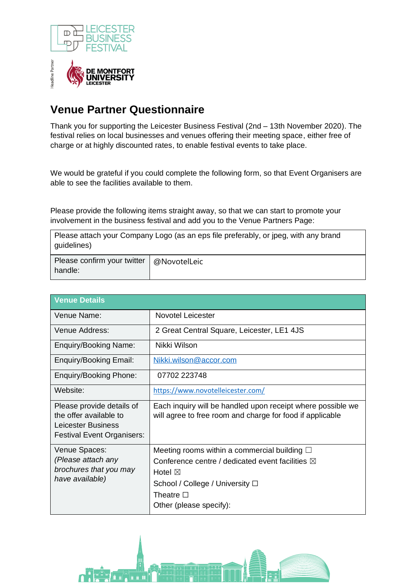



## **Venue Partner Questionnaire**

Thank you for supporting the Leicester Business Festival (2nd – 13th November 2020). The festival relies on local businesses and venues offering their meeting space, either free of charge or at highly discounted rates, to enable festival events to take place.

We would be grateful if you could complete the following form, so that Event Organisers are able to see the facilities available to them.

Please provide the following items straight away, so that we can start to promote your involvement in the business festival and add you to the Venue Partners Page:

Please attach your Company Logo (as an eps file preferably, or jpeg, with any brand guidelines)

| Please confirm your twitter   @NovotelLeic |  |
|--------------------------------------------|--|
| handle:                                    |  |

| <b>Venue Details</b>                                                                                           |                                                                                                                                                                                                                         |
|----------------------------------------------------------------------------------------------------------------|-------------------------------------------------------------------------------------------------------------------------------------------------------------------------------------------------------------------------|
| Venue Name:                                                                                                    | <b>Novotel Leicester</b>                                                                                                                                                                                                |
| Venue Address:                                                                                                 | 2 Great Central Square, Leicester, LE1 4JS                                                                                                                                                                              |
| Enquiry/Booking Name:                                                                                          | Nikki Wilson                                                                                                                                                                                                            |
| Enquiry/Booking Email:                                                                                         | Nikki.wilson@accor.com                                                                                                                                                                                                  |
| Enquiry/Booking Phone:                                                                                         | 07702 223748                                                                                                                                                                                                            |
| Website:                                                                                                       | https://www.novotelleicester.com/                                                                                                                                                                                       |
| Please provide details of<br>the offer available to<br>Leicester Business<br><b>Festival Event Organisers:</b> | Each inquiry will be handled upon receipt where possible we<br>will agree to free room and charge for food if applicable                                                                                                |
| Venue Spaces:<br>(Please attach any<br>brochures that you may<br>have available)                               | Meeting rooms within a commercial building $\square$<br>Conference centre / dedicated event facilities $\boxtimes$<br>Hotel $\boxtimes$<br>School / College / University □<br>Theatre $\Box$<br>Other (please specify): |

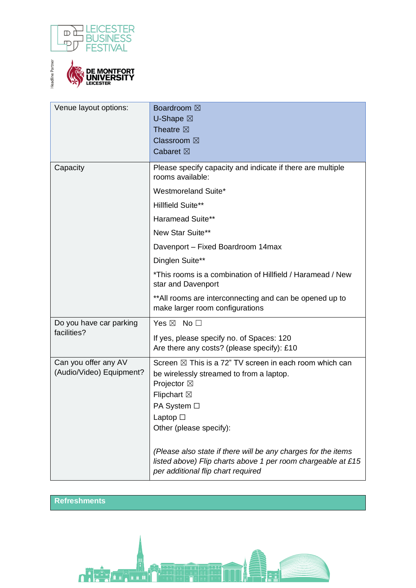



| Venue layout options:                            | <b>Boardroom</b> ⊠<br><b>U-Shape</b> ⊠<br>Theatre <b>X</b><br>Classroom ⊠<br>Cabaret ⊠                                                                                                                           |
|--------------------------------------------------|------------------------------------------------------------------------------------------------------------------------------------------------------------------------------------------------------------------|
| Capacity                                         | Please specify capacity and indicate if there are multiple<br>rooms available:<br>Westmoreland Suite*                                                                                                            |
|                                                  | <b>Hillfield Suite**</b>                                                                                                                                                                                         |
|                                                  | <b>Haramead Suite**</b>                                                                                                                                                                                          |
|                                                  | New Star Suite**                                                                                                                                                                                                 |
|                                                  | Davenport - Fixed Boardroom 14max                                                                                                                                                                                |
|                                                  | Dinglen Suite**                                                                                                                                                                                                  |
|                                                  | *This rooms is a combination of Hillfield / Haramead / New<br>star and Davenport                                                                                                                                 |
|                                                  | ** All rooms are interconnecting and can be opened up to<br>make larger room configurations                                                                                                                      |
| Do you have car parking                          | Yes $\boxtimes$ No $\square$                                                                                                                                                                                     |
| facilities?                                      | If yes, please specify no. of Spaces: 120<br>Are there any costs? (please specify): £10                                                                                                                          |
| Can you offer any AV<br>(Audio/Video) Equipment? | Screen $\boxtimes$ This is a 72" TV screen in each room which can<br>be wirelessly streamed to from a laptop.<br>Projector ⊠<br><b>Flipchart</b> ⊠<br>PA System □<br>Laptop $\square$<br>Other (please specify): |
|                                                  | (Please also state if there will be any charges for the items<br>listed above) Flip charts above 1 per room chargeable at £15<br>per additional flip chart required                                              |

## **Refreshments**